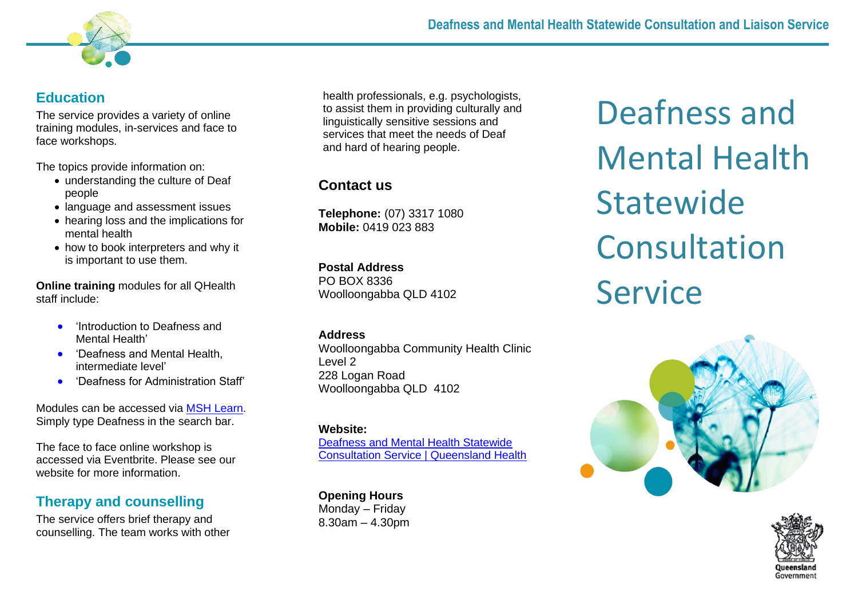

### **Education**

The service provides a variety of online training modules, in-services and face to face workshops.

The topics provide information on:

- understanding the culture of Deaf people
- language and assessment issues
- hearing loss and the implications for mental health
- how to book interpreters and why it is important to use them.

**Online training** modules for all QHealth staff include:

- 'Introduction to Deafness and Mental Health'
- **Deafness and Mental Health,** intermediate level'
- 'Deafness for Administration Staff'

Modules can be accessed via [MSH Learn.](https://qheps.health.qld.gov.au/metrosouth/MSHLearn) Simply type Deafness in the search bar.

The face to face online workshop is accessed via Eventbrite. Please see our website for more information.

## **Therapy and counselling**

The service offers brief therapy and counselling. The team works with other health professionals, e.g. psychologists, to assist them in providing culturally and linguistically sensitive sessions and services that meet the needs of Deaf and hard of hearing people.

# **Contact us**

**Telephone:** (07) 3317 1080 **Mobile:** 0419 023 883

## **Postal Address**

PO BOX 8336 Woolloongabba QLD 4102

#### **Address**

Woolloongabba Community Health Clinic Level 2 228 Logan Road Woolloongabba QLD 4102

#### **Website:**

[Deafness and Mental Health Statewide](https://www.health.qld.gov.au/clinical-practice/referrals/statewide-specialist-services/deafness-and-mental-health)  [Consultation Service | Queensland Health](https://www.health.qld.gov.au/clinical-practice/referrals/statewide-specialist-services/deafness-and-mental-health)

**Opening Hours** Monday – Friday 8.30am – 4.30pm

Deafness and Mental Health **Statewide** Consultation Service